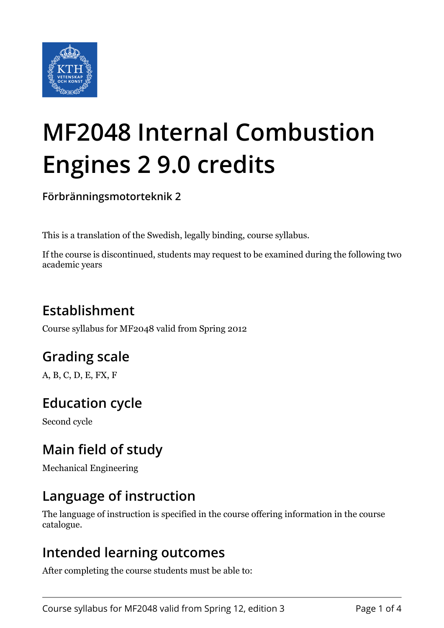

# **MF2048 Internal Combustion Engines 2 9.0 credits**

**Förbränningsmotorteknik 2**

This is a translation of the Swedish, legally binding, course syllabus.

If the course is discontinued, students may request to be examined during the following two academic years

# **Establishment**

Course syllabus for MF2048 valid from Spring 2012

## **Grading scale**

A, B, C, D, E, FX, F

## **Education cycle**

Second cycle

## **Main field of study**

Mechanical Engineering

## **Language of instruction**

The language of instruction is specified in the course offering information in the course catalogue.

#### **Intended learning outcomes**

After completing the course students must be able to: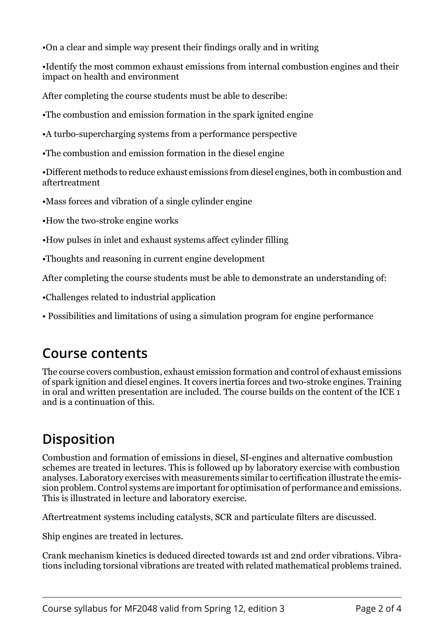•On a clear and simple way present their findings orally and in writing

•Identify the most common exhaust emissions from internal combustion engines and their impact on health and environment

After completing the course students must be able to describe:

•The combustion and emission formation in the spark ignited engine

•A turbo-supercharging systems from a performance perspective

•The combustion and emission formation in the diesel engine

•Different methods to reduce exhaust emissions from diesel engines, both in combustion and aftertreatment

•Mass forces and vibration of a single cylinder engine

•How the two-stroke engine works

•How pulses in inlet and exhaust systems affect cylinder filling

•Thoughts and reasoning in current engine development

After completing the course students must be able to demonstrate an understanding of:

•Challenges related to industrial application

• Possibilities and limitations of using a simulation program for engine performance

#### **Course contents**

The course covers combustion, exhaust emission formation and control of exhaust emissions of spark ignition and diesel engines. It covers inertia forces and two-stroke engines. Training in oral and written presentation are included. The course builds on the content of the ICE 1 and is a continuation of this.

## **Disposition**

Combustion and formation of emissions in diesel, SI-engines and alternative combustion schemes are treated in lectures. This is followed up by laboratory exercise with combustion analyses. Laboratory exercises with measurements similar to certification illustrate the emission problem. Control systems are important for optimisation of performance and emissions. This is illustrated in lecture and laboratory exercise.

Aftertreatment systems including catalysts, SCR and particulate filters are discussed.

Ship engines are treated in lectures.

Crank mechanism kinetics is deduced directed towards 1st and 2nd order vibrations. Vibrations including torsional vibrations are treated with related mathematical problems trained.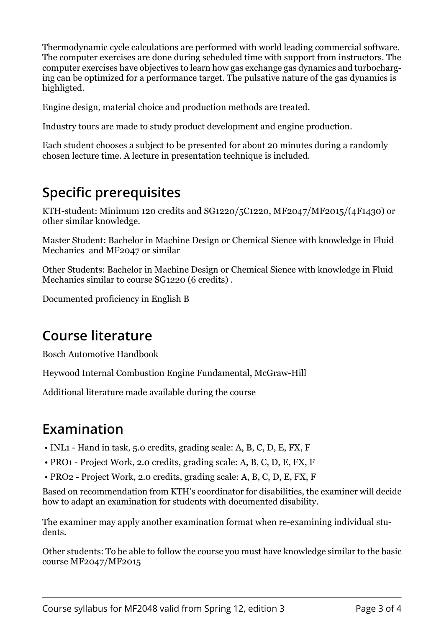Thermodynamic cycle calculations are performed with world leading commercial software. The computer exercises are done during scheduled time with support from instructors. The computer exercises have objectives to learn how gas exchange gas dynamics and turbocharging can be optimized for a performance target. The pulsative nature of the gas dynamics is highligted.

Engine design, material choice and production methods are treated.

Industry tours are made to study product development and engine production.

Each student chooses a subject to be presented for about 20 minutes during a randomly chosen lecture time. A lecture in presentation technique is included.

## **Specific prerequisites**

KTH-student: Minimum 120 credits and SG1220/5C1220, MF2047/MF2015/(4F1430) or other similar knowledge.

Master Student: Bachelor in Machine Design or Chemical Sience with knowledge in Fluid Mechanics and MF2047 or similar

Other Students: Bachelor in Machine Design or Chemical Sience with knowledge in Fluid Mechanics similar to course SG1220 (6 credits) .

Documented proficiency in English B

#### **Course literature**

Bosch Automotive Handbook

Heywood Internal Combustion Engine Fundamental, McGraw-Hill

Additional literature made available during the course

## **Examination**

- INL1 Hand in task, 5.0 credits, grading scale: A, B, C, D, E, FX, F
- PRO1 Project Work, 2.0 credits, grading scale: A, B, C, D, E, FX, F
- PRO2 Project Work, 2.0 credits, grading scale: A, B, C, D, E, FX, F

Based on recommendation from KTH's coordinator for disabilities, the examiner will decide how to adapt an examination for students with documented disability.

The examiner may apply another examination format when re-examining individual students.

Other students: To be able to follow the course you must have knowledge similar to the basic course MF2047/MF2015